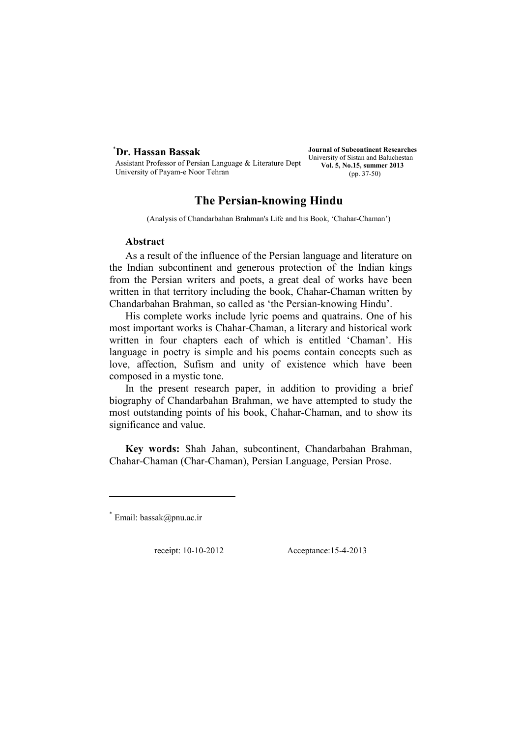# \* **Dr. Hassan Bassak**

Assistant Professor of Persian Language & Literature Dept, University of Payam-e Noor Tehran

**Journal of Subcontinent Researches**  University of Sistan and Baluchestan **Vol. 5, No.15, summer 2013**  (pp. 37-50)

# **The Persian-knowing Hindu**

(Analysis of Chandarbahan Brahman's Life and his Book, 'Chahar-Chaman')

## **Abstract**

As a result of the influence of the Persian language and literature on the Indian subcontinent and generous protection of the Indian kings from the Persian writers and poets, a great deal of works have been written in that territory including the book, Chahar-Chaman written by Chandarbahan Brahman, so called as 'the Persian-knowing Hindu'.

His complete works include lyric poems and quatrains. One of his most important works is Chahar-Chaman, a literary and historical work written in four chapters each of which is entitled 'Chaman'. His language in poetry is simple and his poems contain concepts such as love, affection, Sufism and unity of existence which have been composed in a mystic tone.

In the present research paper, in addition to providing a brief biography of Chandarbahan Brahman, we have attempted to study the most outstanding points of his book, Chahar-Chaman, and to show its significance and value.

**Key words:** Shah Jahan, subcontinent, Chandarbahan Brahman, Chahar-Chaman (Char-Chaman), Persian Language, Persian Prose.

receipt: 10-10-2012 Acceptance:15-4-2013

 $^{\dagger}$  Email: bassak@pnu.ac.ir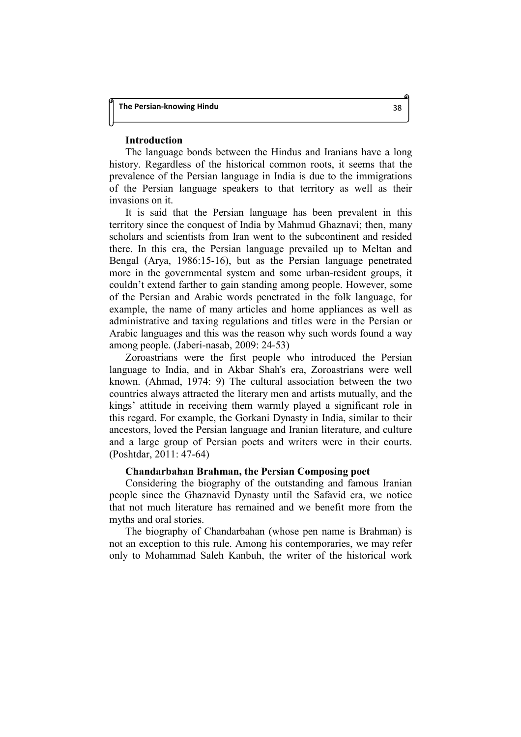## **Introduction**

The language bonds between the Hindus and Iranians have a long history. Regardless of the historical common roots, it seems that the prevalence of the Persian language in India is due to the immigrations of the Persian language speakers to that territory as well as their invasions on it.

It is said that the Persian language has been prevalent in this territory since the conquest of India by Mahmud Ghaznavi; then, many scholars and scientists from Iran went to the subcontinent and resided there. In this era, the Persian language prevailed up to Meltan and Bengal (Arya, 1986:15-16), but as the Persian language penetrated more in the governmental system and some urban-resident groups, it couldn't extend farther to gain standing among people. However, some of the Persian and Arabic words penetrated in the folk language, for example, the name of many articles and home appliances as well as administrative and taxing regulations and titles were in the Persian or Arabic languages and this was the reason why such words found a way among people. (Jaberi-nasab, 2009: 24-53)

Zoroastrians were the first people who introduced the Persian language to India, and in Akbar Shah's era, Zoroastrians were well known. (Ahmad, 1974: 9) The cultural association between the two countries always attracted the literary men and artists mutually, and the kings' attitude in receiving them warmly played a significant role in this regard. For example, the Gorkani Dynasty in India, similar to their ancestors, loved the Persian language and Iranian literature, and culture and a large group of Persian poets and writers were in their courts. (Poshtdar, 2011: 47-64)

## **Chandarbahan Brahman, the Persian Composing poet**

Considering the biography of the outstanding and famous Iranian people since the Ghaznavid Dynasty until the Safavid era, we notice that not much literature has remained and we benefit more from the myths and oral stories.

The biography of Chandarbahan (whose pen name is Brahman) is not an exception to this rule. Among his contemporaries, we may refer only to Mohammad Saleh Kanbuh, the writer of the historical work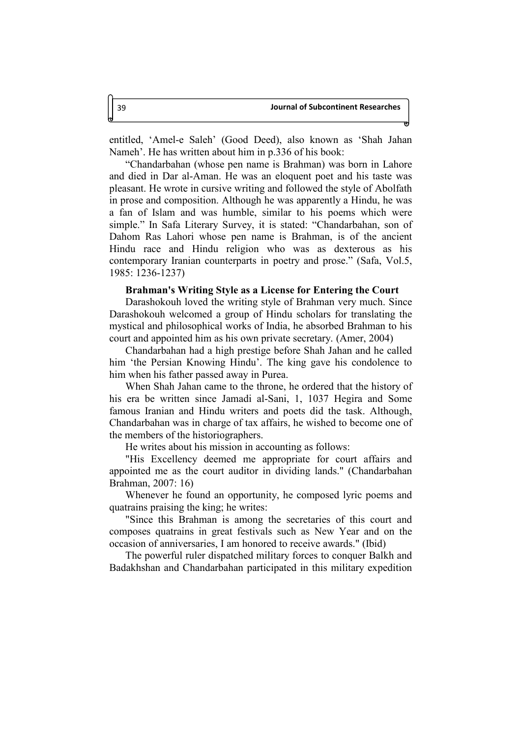entitled, 'Amel-e Saleh' (Good Deed), also known as 'Shah Jahan Nameh'. He has written about him in p.336 of his book:

"Chandarbahan (whose pen name is Brahman) was born in Lahore and died in Dar al-Aman. He was an eloquent poet and his taste was pleasant. He wrote in cursive writing and followed the style of Abolfath in prose and composition. Although he was apparently a Hindu, he was a fan of Islam and was humble, similar to his poems which were simple." In Safa Literary Survey, it is stated: "Chandarbahan, son of Dahom Ras Lahori whose pen name is Brahman, is of the ancient Hindu race and Hindu religion who was as dexterous as his contemporary Iranian counterparts in poetry and prose." (Safa, Vol.5, 1985: 1236-1237)

## **Brahman's Writing Style as a License for Entering the Court**

Darashokouh loved the writing style of Brahman very much. Since Darashokouh welcomed a group of Hindu scholars for translating the mystical and philosophical works of India, he absorbed Brahman to his court and appointed him as his own private secretary. (Amer, 2004)

Chandarbahan had a high prestige before Shah Jahan and he called him 'the Persian Knowing Hindu'. The king gave his condolence to him when his father passed away in Purea.

When Shah Jahan came to the throne, he ordered that the history of his era be written since Jamadi al-Sani, 1, 1037 Hegira and Some famous Iranian and Hindu writers and poets did the task. Although, Chandarbahan was in charge of tax affairs, he wished to become one of the members of the historiographers.

He writes about his mission in accounting as follows:

"His Excellency deemed me appropriate for court affairs and appointed me as the court auditor in dividing lands." (Chandarbahan Brahman, 2007: 16)

Whenever he found an opportunity, he composed lyric poems and quatrains praising the king; he writes:

"Since this Brahman is among the secretaries of this court and composes quatrains in great festivals such as New Year and on the occasion of anniversaries, I am honored to receive awards." (Ibid)

The powerful ruler dispatched military forces to conquer Balkh and Badakhshan and Chandarbahan participated in this military expedition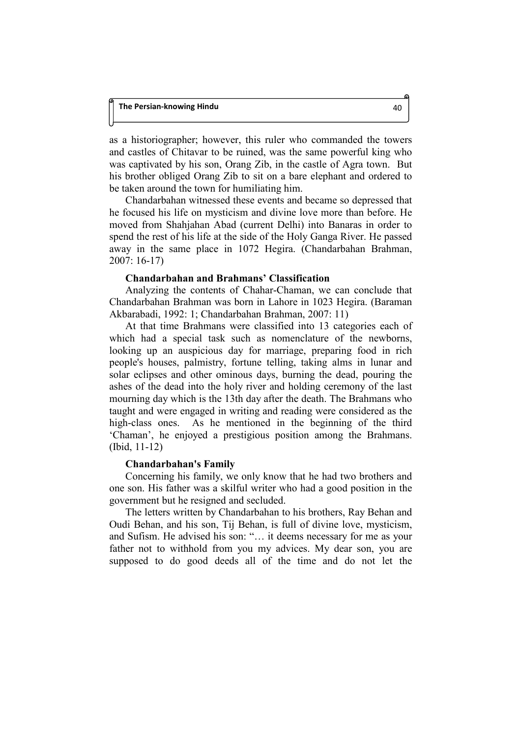as a historiographer; however, this ruler who commanded the towers and castles of Chitavar to be ruined, was the same powerful king who was captivated by his son, Orang Zib, in the castle of Agra town. But his brother obliged Orang Zib to sit on a bare elephant and ordered to be taken around the town for humiliating him.

Chandarbahan witnessed these events and became so depressed that he focused his life on mysticism and divine love more than before. He moved from Shahjahan Abad (current Delhi) into Banaras in order to spend the rest of his life at the side of the Holy Ganga River. He passed away in the same place in 1072 Hegira. (Chandarbahan Brahman, 2007: 16-17)

## **Chandarbahan and Brahmans' Classification**

Analyzing the contents of Chahar-Chaman, we can conclude that Chandarbahan Brahman was born in Lahore in 1023 Hegira. (Baraman Akbarabadi, 1992: 1; Chandarbahan Brahman, 2007: 11)

At that time Brahmans were classified into 13 categories each of which had a special task such as nomenclature of the newborns, looking up an auspicious day for marriage, preparing food in rich people's houses, palmistry, fortune telling, taking alms in lunar and solar eclipses and other ominous days, burning the dead, pouring the ashes of the dead into the holy river and holding ceremony of the last mourning day which is the 13th day after the death. The Brahmans who taught and were engaged in writing and reading were considered as the high-class ones. As he mentioned in the beginning of the third 'Chaman', he enjoyed a prestigious position among the Brahmans. (Ibid, 11-12)

# **Chandarbahan's Family**

Concerning his family, we only know that he had two brothers and one son. His father was a skilful writer who had a good position in the government but he resigned and secluded.

The letters written by Chandarbahan to his brothers, Ray Behan and Oudi Behan, and his son, Tij Behan, is full of divine love, mysticism, and Sufism. He advised his son: "… it deems necessary for me as your father not to withhold from you my advices. My dear son, you are supposed to do good deeds all of the time and do not let the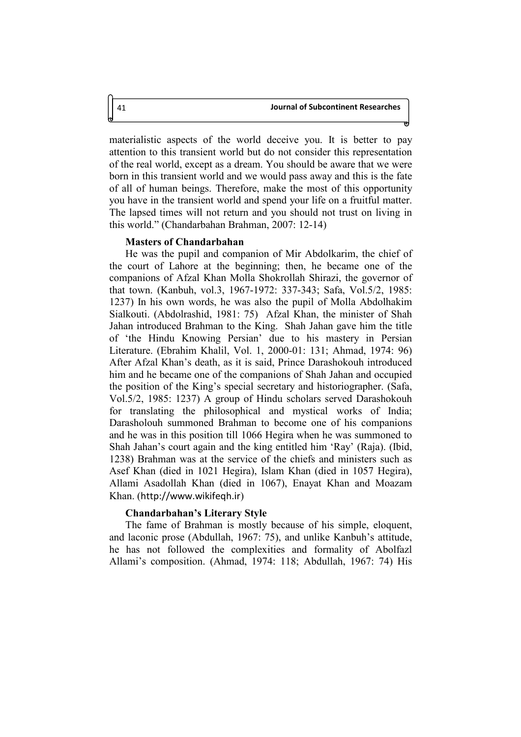materialistic aspects of the world deceive you. It is better to pay attention to this transient world but do not consider this representation of the real world, except as a dream. You should be aware that we were born in this transient world and we would pass away and this is the fate of all of human beings. Therefore, make the most of this opportunity you have in the transient world and spend your life on a fruitful matter. The lapsed times will not return and you should not trust on living in this world." (Chandarbahan Brahman, 2007: 12-14)

#### **Masters of Chandarbahan**

He was the pupil and companion of Mir Abdolkarim, the chief of the court of Lahore at the beginning; then, he became one of the companions of Afzal Khan Molla Shokrollah Shirazi, the governor of that town. (Kanbuh, vol.3, 1967-1972: 337-343; Safa, Vol.5/2, 1985: 1237) In his own words, he was also the pupil of Molla Abdolhakim Sialkouti. (Abdolrashid, 1981: 75) Afzal Khan, the minister of Shah Jahan introduced Brahman to the King. Shah Jahan gave him the title of 'the Hindu Knowing Persian' due to his mastery in Persian Literature. (Ebrahim Khalil, Vol. 1, 2000-01: 131; Ahmad, 1974: 96) After Afzal Khan's death, as it is said, Prince Darashokouh introduced him and he became one of the companions of Shah Jahan and occupied the position of the King's special secretary and historiographer. (Safa, Vol.5/2, 1985: 1237) A group of Hindu scholars served Darashokouh for translating the philosophical and mystical works of India; Darasholouh summoned Brahman to become one of his companions and he was in this position till 1066 Hegira when he was summoned to Shah Jahan's court again and the king entitled him 'Ray' (Raja). (Ibid, 1238) Brahman was at the service of the chiefs and ministers such as Asef Khan (died in 1021 Hegira), Islam Khan (died in 1057 Hegira), Allami Asadollah Khan (died in 1067), Enayat Khan and Moazam Khan. (http://www.wikifeqh.ir)

#### **Chandarbahan's Literary Style**

The fame of Brahman is mostly because of his simple, eloquent, and laconic prose (Abdullah, 1967: 75), and unlike Kanbuh's attitude, he has not followed the complexities and formality of Abolfazl Allami's composition. (Ahmad, 1974: 118; Abdullah, 1967: 74) His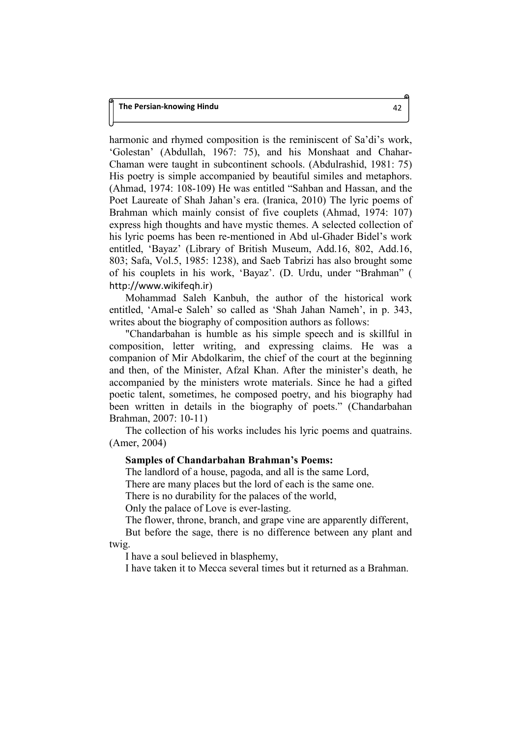harmonic and rhymed composition is the reminiscent of Sa'di's work, 'Golestan' (Abdullah, 1967: 75), and his Monshaat and Chahar-Chaman were taught in subcontinent schools. (Abdulrashid, 1981: 75) His poetry is simple accompanied by beautiful similes and metaphors. (Ahmad, 1974: 108-109) He was entitled "Sahban and Hassan, and the Poet Laureate of Shah Jahan's era. (Iranica, 2010) The lyric poems of Brahman which mainly consist of five couplets (Ahmad, 1974: 107) express high thoughts and have mystic themes. A selected collection of his lyric poems has been re-mentioned in Abd ul-Ghader Bidel's work entitled, 'Bayaz' (Library of British Museum, Add.16, 802, Add.16, 803; Safa, Vol.5, 1985: 1238), and Saeb Tabrizi has also brought some of his couplets in his work, 'Bayaz'. (D. Urdu, under "Brahman" ( http://www.wikifeqh.ir)

Mohammad Saleh Kanbuh, the author of the historical work entitled, 'Amal-e Saleh' so called as 'Shah Jahan Nameh', in p. 343, writes about the biography of composition authors as follows:

"Chandarbahan is humble as his simple speech and is skillful in composition, letter writing, and expressing claims. He was a companion of Mir Abdolkarim, the chief of the court at the beginning and then, of the Minister, Afzal Khan. After the minister's death, he accompanied by the ministers wrote materials. Since he had a gifted poetic talent, sometimes, he composed poetry, and his biography had been written in details in the biography of poets." (Chandarbahan Brahman, 2007: 10-11)

The collection of his works includes his lyric poems and quatrains. (Amer, 2004)

# **Samples of Chandarbahan Brahman's Poems:**

The landlord of a house, pagoda, and all is the same Lord,

There are many places but the lord of each is the same one.

There is no durability for the palaces of the world,

Only the palace of Love is ever-lasting.

The flower, throne, branch, and grape vine are apparently different,

But before the sage, there is no difference between any plant and twig.

I have a soul believed in blasphemy,

I have taken it to Mecca several times but it returned as a Brahman.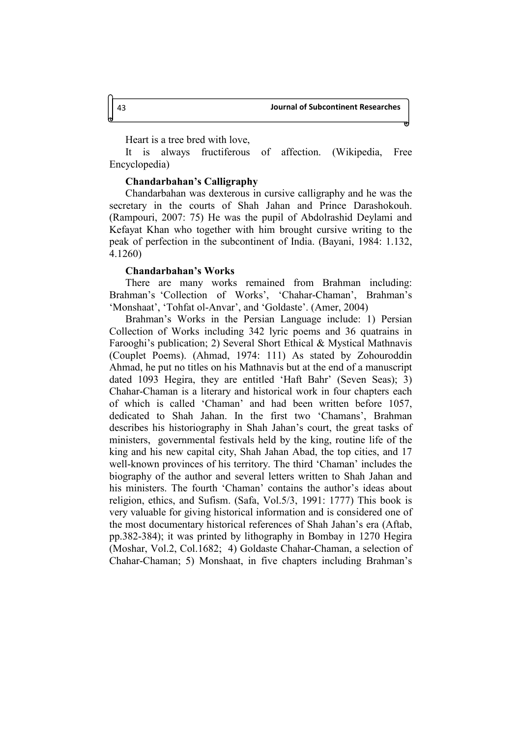Heart is a tree bred with love,

It is always fructiferous of affection. (Wikipedia, Free Encyclopedia)

## **Chandarbahan's Calligraphy**

Chandarbahan was dexterous in cursive calligraphy and he was the secretary in the courts of Shah Jahan and Prince Darashokouh. (Rampouri, 2007: 75) He was the pupil of Abdolrashid Deylami and Kefayat Khan who together with him brought cursive writing to the peak of perfection in the subcontinent of India. (Bayani, 1984: 1.132, 4.1260)

### **Chandarbahan's Works**

There are many works remained from Brahman including: Brahman's 'Collection of Works', 'Chahar-Chaman', Brahman's 'Monshaat', 'Tohfat ol-Anvar', and 'Goldaste'. (Amer, 2004)

Brahman's Works in the Persian Language include: 1) Persian Collection of Works including 342 lyric poems and 36 quatrains in Farooghi's publication; 2) Several Short Ethical & Mystical Mathnavis (Couplet Poems). (Ahmad, 1974: 111) As stated by Zohouroddin Ahmad, he put no titles on his Mathnavis but at the end of a manuscript dated 1093 Hegira, they are entitled 'Haft Bahr' (Seven Seas); 3) Chahar-Chaman is a literary and historical work in four chapters each of which is called 'Chaman' and had been written before 1057, dedicated to Shah Jahan. In the first two 'Chamans', Brahman describes his historiography in Shah Jahan's court, the great tasks of ministers, governmental festivals held by the king, routine life of the king and his new capital city, Shah Jahan Abad, the top cities, and 17 well-known provinces of his territory. The third 'Chaman' includes the biography of the author and several letters written to Shah Jahan and his ministers. The fourth 'Chaman' contains the author's ideas about religion, ethics, and Sufism. (Safa, Vol.5/3, 1991: 1777) This book is very valuable for giving historical information and is considered one of the most documentary historical references of Shah Jahan's era (Aftab, pp.382-384); it was printed by lithography in Bombay in 1270 Hegira (Moshar, Vol.2, Col.1682; 4) Goldaste Chahar-Chaman, a selection of Chahar-Chaman; 5) Monshaat, in five chapters including Brahman's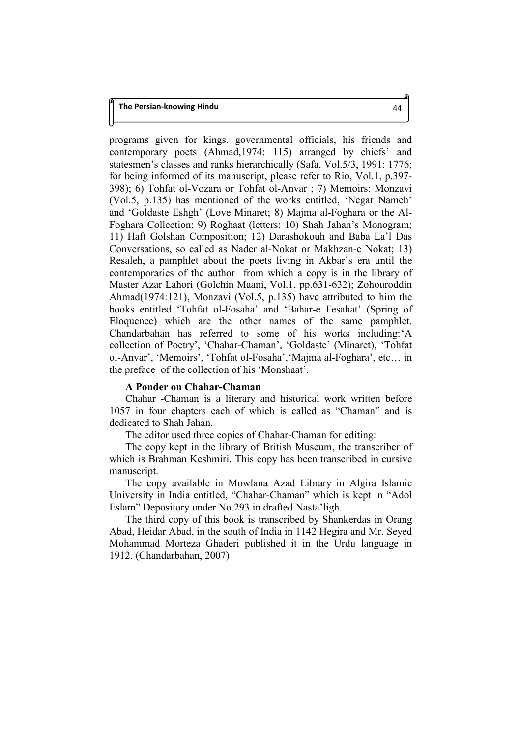programs given for kings, governmental officials, his friends and contemporary poets (Ahmad,1974: 115) arranged by chiefs' and statesmen's classes and ranks hierarchically (Safa, Vol.5/3, 1991: 1776; for being informed of its manuscript, please refer to Rio, Vol.1, p.397- 398); 6) Tohfat ol-Vozara or Tohfat ol-Anvar ; 7) Memoirs: Monzavi (Vol.5, p.135) has mentioned of the works entitled, 'Negar Nameh' and 'Goldaste Eshgh' (Love Minaret; 8) Majma al-Foghara or the Al-Foghara Collection; 9) Roghaat (letters; 10) Shah Jahan's Monogram; 11) Haft Golshan Composition; 12) Darashokouh and Baba La'l Das Conversations, so called as Nader al-Nokat or Makhzan-e Nokat; 13) Resaleh, a pamphlet about the poets living in Akbar's era until the contemporaries of the author from which a copy is in the library of Master Azar Lahori (Golchin Maani, Vol.1, pp.631-632); Zohouroddin Ahmad(1974:121), Monzavi (Vol.5, p.135) have attributed to him the books entitled 'Tohfat ol-Fosaha' and 'Bahar-e Fesahat' (Spring of Eloquence) which are the other names of the same pamphlet. Chandarbahan has referred to some of his works including:'A collection of Poetry', 'Chahar-Chaman', 'Goldaste' (Minaret), 'Tohfat ol-Anvar', 'Memoirs', 'Tohfat ol-Fosaha','Majma al-Foghara', etc… in the preface of the collection of his 'Monshaat'.

## **A Ponder on Chahar-Chaman**

Chahar -Chaman is a literary and historical work written before 1057 in four chapters each of which is called as "Chaman" and is dedicated to Shah Jahan.

The editor used three copies of Chahar-Chaman for editing:

The copy kept in the library of British Museum, the transcriber of which is Brahman Keshmiri. This copy has been transcribed in cursive manuscript.

The copy available in Mowlana Azad Library in Algira Islamic University in India entitled, "Chahar-Chaman" which is kept in "Adol Eslam" Depository under No.293 in drafted Nasta'ligh.

The third copy of this book is transcribed by Shankerdas in Orang Abad, Heidar Abad, in the south of India in 1142 Hegira and Mr. Seyed Mohammad Morteza Ghaderi published it in the Urdu language in 1912. (Chandarbahan, 2007)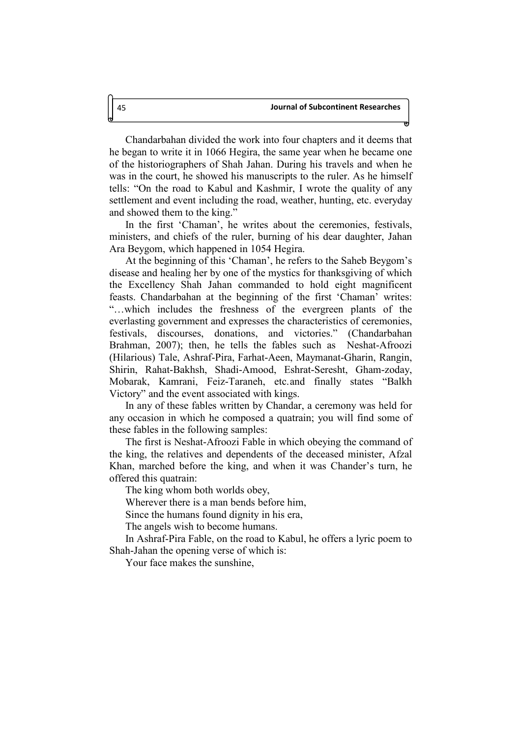Chandarbahan divided the work into four chapters and it deems that he began to write it in 1066 Hegira, the same year when he became one of the historiographers of Shah Jahan. During his travels and when he was in the court, he showed his manuscripts to the ruler. As he himself tells: "On the road to Kabul and Kashmir, I wrote the quality of any settlement and event including the road, weather, hunting, etc. everyday and showed them to the king."

In the first 'Chaman', he writes about the ceremonies, festivals, ministers, and chiefs of the ruler, burning of his dear daughter, Jahan Ara Beygom, which happened in 1054 Hegira.

At the beginning of this 'Chaman', he refers to the Saheb Beygom's disease and healing her by one of the mystics for thanksgiving of which the Excellency Shah Jahan commanded to hold eight magnificent feasts. Chandarbahan at the beginning of the first 'Chaman' writes: "…which includes the freshness of the evergreen plants of the everlasting government and expresses the characteristics of ceremonies, festivals, discourses, donations, and victories." (Chandarbahan Brahman, 2007); then, he tells the fables such as Neshat-Afroozi (Hilarious) Tale, Ashraf-Pira, Farhat-Aeen, Maymanat-Gharin, Rangin, Shirin, Rahat-Bakhsh, Shadi-Amood, Eshrat-Seresht, Gham-zoday, Mobarak, Kamrani, Feiz-Taraneh, etc.and finally states "Balkh Victory" and the event associated with kings.

In any of these fables written by Chandar, a ceremony was held for any occasion in which he composed a quatrain; you will find some of these fables in the following samples:

The first is Neshat-Afroozi Fable in which obeying the command of the king, the relatives and dependents of the deceased minister, Afzal Khan, marched before the king, and when it was Chander's turn, he offered this quatrain:

The king whom both worlds obey,

Wherever there is a man bends before him,

Since the humans found dignity in his era,

The angels wish to become humans.

In Ashraf-Pira Fable, on the road to Kabul, he offers a lyric poem to Shah-Jahan the opening verse of which is:

Your face makes the sunshine,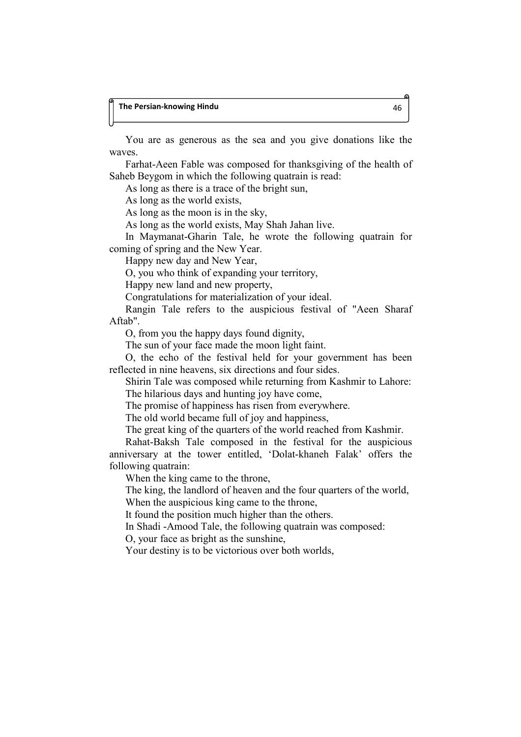## **The Persian-knowing Hindu** 46

You are as generous as the sea and you give donations like the waves.

Farhat-Aeen Fable was composed for thanksgiving of the health of Saheb Beygom in which the following quatrain is read:

As long as there is a trace of the bright sun,

As long as the world exists,

As long as the moon is in the sky,

As long as the world exists, May Shah Jahan live.

In Maymanat-Gharin Tale, he wrote the following quatrain for coming of spring and the New Year.

Happy new day and New Year,

O, you who think of expanding your territory,

Happy new land and new property,

Congratulations for materialization of your ideal.

Rangin Tale refers to the auspicious festival of "Aeen Sharaf Aftab".

O, from you the happy days found dignity,

The sun of your face made the moon light faint.

O, the echo of the festival held for your government has been reflected in nine heavens, six directions and four sides.

Shirin Tale was composed while returning from Kashmir to Lahore: The hilarious days and hunting joy have come,

The promise of happiness has risen from everywhere.

The old world became full of joy and happiness,

The great king of the quarters of the world reached from Kashmir.

Rahat-Baksh Tale composed in the festival for the auspicious anniversary at the tower entitled, 'Dolat-khaneh Falak' offers the following quatrain:

When the king came to the throne,

The king, the landlord of heaven and the four quarters of the world,

When the auspicious king came to the throne,

It found the position much higher than the others.

In Shadi -Amood Tale, the following quatrain was composed:

O, your face as bright as the sunshine,

Your destiny is to be victorious over both worlds,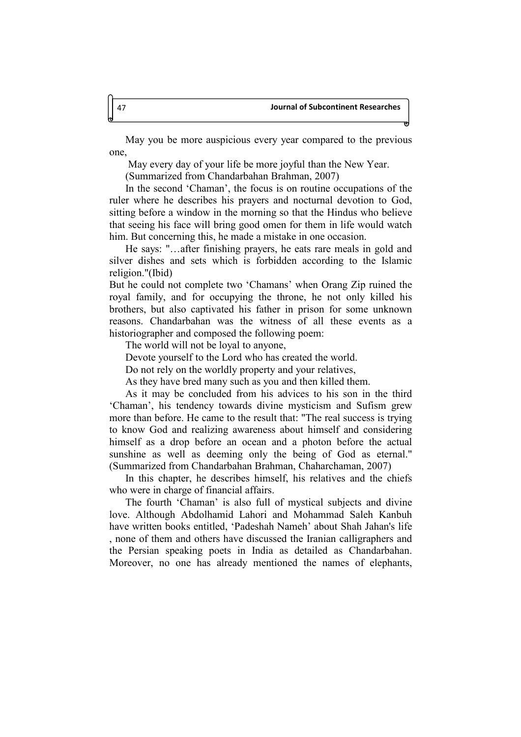May you be more auspicious every year compared to the previous one,

May every day of your life be more joyful than the New Year.

(Summarized from Chandarbahan Brahman, 2007)

In the second 'Chaman', the focus is on routine occupations of the ruler where he describes his prayers and nocturnal devotion to God, sitting before a window in the morning so that the Hindus who believe that seeing his face will bring good omen for them in life would watch him. But concerning this, he made a mistake in one occasion.

He says: "…after finishing prayers, he eats rare meals in gold and silver dishes and sets which is forbidden according to the Islamic religion."(Ibid)

But he could not complete two 'Chamans' when Orang Zip ruined the royal family, and for occupying the throne, he not only killed his brothers, but also captivated his father in prison for some unknown reasons. Chandarbahan was the witness of all these events as a historiographer and composed the following poem:

The world will not be loyal to anyone,

Devote yourself to the Lord who has created the world.

Do not rely on the worldly property and your relatives,

As they have bred many such as you and then killed them.

As it may be concluded from his advices to his son in the third 'Chaman', his tendency towards divine mysticism and Sufism grew more than before. He came to the result that: "The real success is trying to know God and realizing awareness about himself and considering himself as a drop before an ocean and a photon before the actual sunshine as well as deeming only the being of God as eternal." (Summarized from Chandarbahan Brahman, Chaharchaman, 2007)

In this chapter, he describes himself, his relatives and the chiefs who were in charge of financial affairs.

The fourth 'Chaman' is also full of mystical subjects and divine love. Although Abdolhamid Lahori and Mohammad Saleh Kanbuh have written books entitled, 'Padeshah Nameh' about Shah Jahan's life , none of them and others have discussed the Iranian calligraphers and the Persian speaking poets in India as detailed as Chandarbahan. Moreover, no one has already mentioned the names of elephants,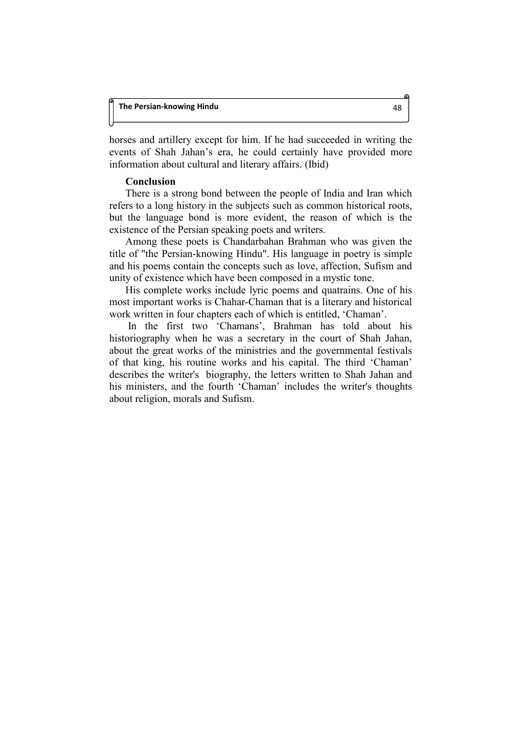horses and artillery except for him. If he had succeeded in writing the events of Shah Jahan's era, he could certainly have provided more information about cultural and literary affairs. (Ibid)

## **Conclusion**

There is a strong bond between the people of India and Iran which refers to a long history in the subjects such as common historical roots, but the language bond is more evident, the reason of which is the existence of the Persian speaking poets and writers.

Among these poets is Chandarbahan Brahman who was given the title of "the Persian-knowing Hindu". His language in poetry is simple and his poems contain the concepts such as love, affection, Sufism and unity of existence which have been composed in a mystic tone.

His complete works include lyric poems and quatrains. One of his most important works is Chahar-Chaman that is a literary and historical work written in four chapters each of which is entitled, 'Chaman'.

 In the first two 'Chamans', Brahman has told about his historiography when he was a secretary in the court of Shah Jahan, about the great works of the ministries and the governmental festivals of that king, his routine works and his capital. The third 'Chaman' describes the writer's biography, the letters written to Shah Jahan and his ministers, and the fourth 'Chaman' includes the writer's thoughts about religion, morals and Sufism.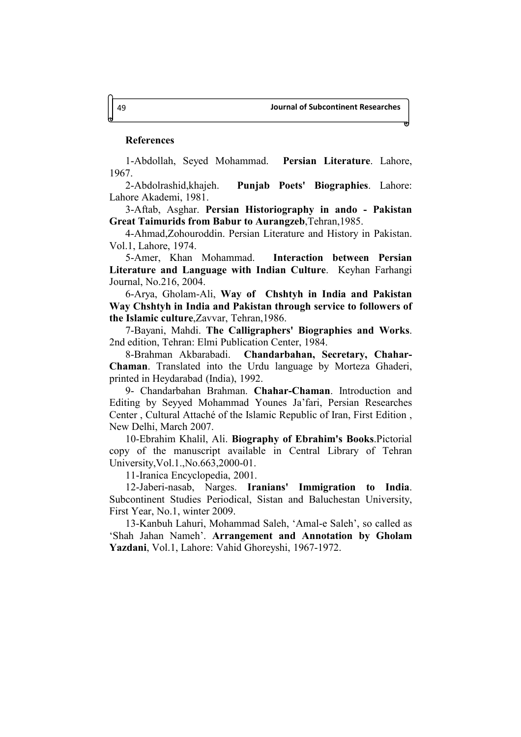## **References**

1-Abdollah, Seyed Mohammad. **Persian Literature**. Lahore, 1967.

2-Abdolrashid,khajeh. **Punjab Poets' Biographies**. Lahore: Lahore Akademi, 1981.

3-Aftab, Asghar. **Persian Historiography in ando - Pakistan Great Taimurids from Babur to Aurangzeb**,Tehran,1985.

4-Ahmad,Zohouroddin. Persian Literature and History in Pakistan. Vol.1, Lahore, 1974.

5-Amer, Khan Mohammad. **Interaction between Persian Literature and Language with Indian Culture**. Keyhan Farhangi Journal, No.216, 2004.

6-Arya, Gholam-Ali, **Way of Chshtyh in India and Pakistan Way Chshtyh in India and Pakistan through service to followers of the Islamic culture**,Zavvar, Tehran,1986.

7-Bayani, Mahdi. **The Calligraphers' Biographies and Works**. 2nd edition, Tehran: Elmi Publication Center, 1984.

8-Brahman Akbarabadi. **Chandarbahan, Secretary, Chahar-Chaman**. Translated into the Urdu language by Morteza Ghaderi, printed in Heydarabad (India), 1992.

9- Chandarbahan Brahman. **Chahar-Chaman**. Introduction and Editing by Seyyed Mohammad Younes Ja'fari, Persian Researches Center , Cultural Attaché of the Islamic Republic of Iran, First Edition , New Delhi, March 2007.

10-Ebrahim Khalil, Ali. **Biography of Ebrahim's Books**.Pictorial copy of the manuscript available in Central Library of Tehran University,Vol.1.,No.663,2000-01.

11-Iranica Encyclopedia, 2001.

12-Jaberi-nasab, Narges. **Iranians' Immigration to India**. Subcontinent Studies Periodical, Sistan and Baluchestan University, First Year, No.1, winter 2009.

13-Kanbuh Lahuri, Mohammad Saleh, 'Amal-e Saleh', so called as 'Shah Jahan Nameh'. **Arrangement and Annotation by Gholam Yazdani**, Vol.1, Lahore: Vahid Ghoreyshi, 1967-1972.